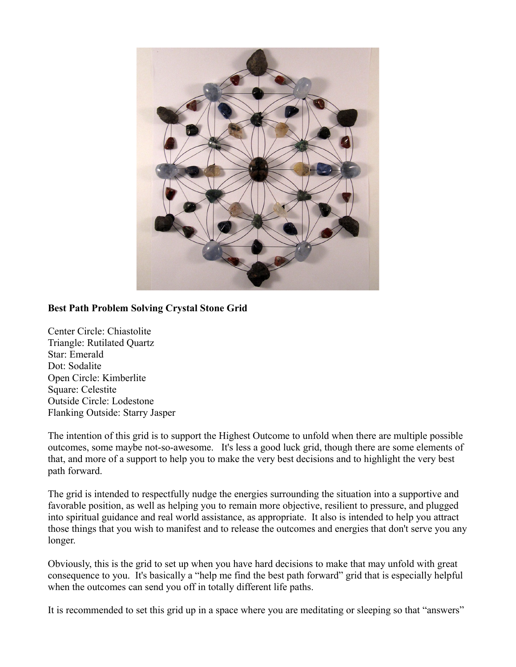

## **Best Path Problem Solving Crystal Stone Grid**

Center Circle: Chiastolite Triangle: Rutilated Quartz Star: Emerald Dot: Sodalite Open Circle: Kimberlite Square: Celestite Outside Circle: Lodestone Flanking Outside: Starry Jasper

The intention of this grid is to support the Highest Outcome to unfold when there are multiple possible outcomes, some maybe not-so-awesome. It's less a good luck grid, though there are some elements of that, and more of a support to help you to make the very best decisions and to highlight the very best path forward.

The grid is intended to respectfully nudge the energies surrounding the situation into a supportive and favorable position, as well as helping you to remain more objective, resilient to pressure, and plugged into spiritual guidance and real world assistance, as appropriate. It also is intended to help you attract those things that you wish to manifest and to release the outcomes and energies that don't serve you any longer.

Obviously, this is the grid to set up when you have hard decisions to make that may unfold with great consequence to you. It's basically a "help me find the best path forward" grid that is especially helpful when the outcomes can send you off in totally different life paths.

It is recommended to set this grid up in a space where you are meditating or sleeping so that "answers"